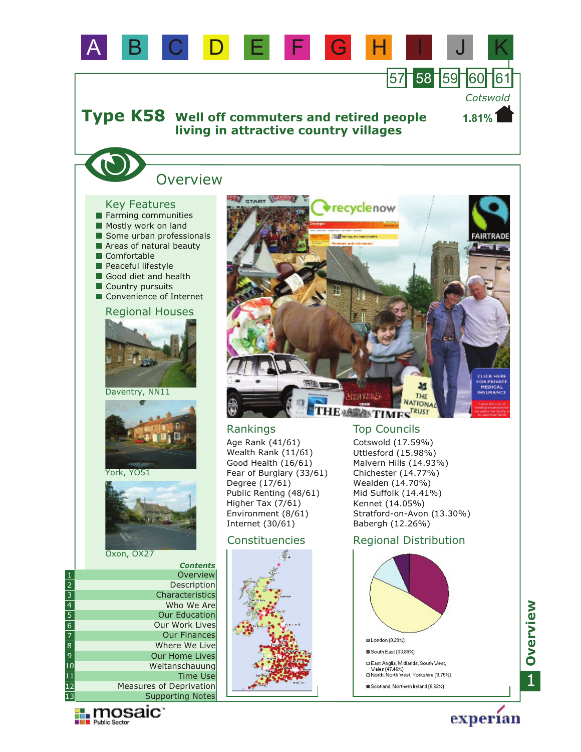

Our Work Lives

Supporting Notes Measures of Deprivation

**Exploration** 

Our Finances Where We Live Our Home Lives Weltanschauung

Time Use

1**Overview**

experian

**□ London (0.29%)** South East (33.89%)

□ East Anglia, Midlands, South West,<br>Wales (47.46%)<br>□ North, North West, Yorkshire (11.75%) Scotland, Northern Ireland (6.62%)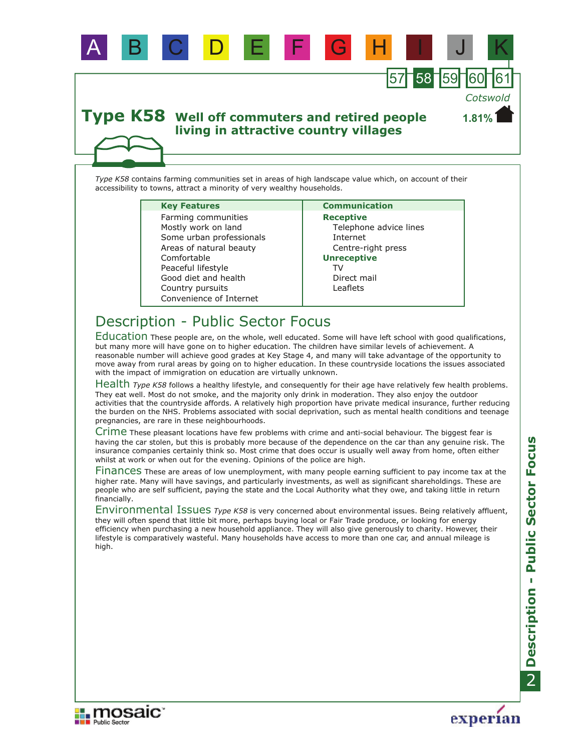

*Type K58* contains farming communities set in areas of high landscape value which, on account of their accessibility to towns, attract a minority of very wealthy households.

A B C D E F G H I J K

#### **Key Features Communication**

Country pursuits Good diet and health Some urban professionals Areas of natural beauty Comfortable Convenience of Internet Peaceful lifestyle Mostly work on land Farming communities

**Receptive** Telephone advice lines Internet Centre-right press **Unreceptive** Leaflets Direct mail TV

59

*Cotswold*

# Description - Public Sector Focus

Education These people are, on the whole, well educated. Some will have left school with good qualifications, but many more will have gone on to higher education. The children have similar levels of achievement. A reasonable number will achieve good grades at Key Stage 4, and many will take advantage of the opportunity to move away from rural areas by going on to higher education. In these countryside locations the issues associated with the impact of immigration on education are virtually unknown.

Health Type K58 follows a healthy lifestyle, and consequently for their age have relatively few health problems. They eat well. Most do not smoke, and the majority only drink in moderation. They also enjoy the outdoor activities that the countryside affords. A relatively high proportion have private medical insurance, further reducing the burden on the NHS. Problems associated with social deprivation, such as mental health conditions and teenage pregnancies, are rare in these neighbourhoods.

Crime These pleasant locations have few problems with crime and anti-social behaviour. The biggest fear is having the car stolen, but this is probably more because of the dependence on the car than any genuine risk. The insurance companies certainly think so. Most crime that does occur is usually well away from home, often either whilst at work or when out for the evening. Opinions of the police are high.

Finances These are areas of low unemployment, with many people earning sufficient to pay income tax at the higher rate. Many will have savings, and particularly investments, as well as significant shareholdings. These are people who are self sufficient, paying the state and the Local Authority what they owe, and taking little in return financially.

Environmental Issues Type K58 is very concerned about environmental issues. Being relatively affluent, they will often spend that little bit more, perhaps buying local or Fair Trade produce, or looking for energy efficiency when purchasing a new household appliance. They will also give generously to charity. However, their lifestyle is comparatively wasteful. Many households have access to more than one car, and annual mileage is high.



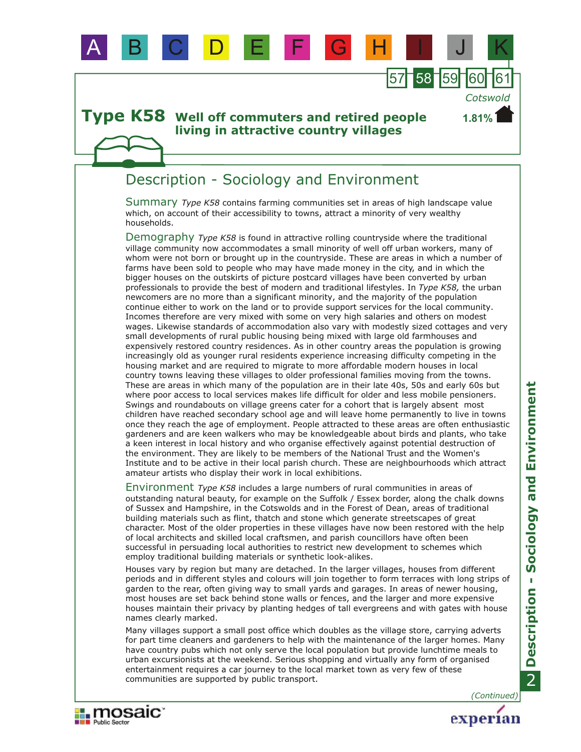

B C D E F

# Description - Sociology and Environment

Summary *Type K58* contains farming communities set in areas of high landscape value which, on account of their accessibility to towns, attract a minority of very wealthy households.

57 58 59

*Cotswold*

**1.81%**

Demography Type K58 is found in attractive rolling countryside where the traditional village community now accommodates a small minority of well off urban workers, many of whom were not born or brought up in the countryside. These are areas in which a number of farms have been sold to people who may have made money in the city, and in which the bigger houses on the outskirts of picture postcard villages have been converted by urban professionals to provide the best of modern and traditional lifestyles. In *Type K58,* the urban newcomers are no more than a significant minority, and the majority of the population continue either to work on the land or to provide support services for the local community. Incomes therefore are very mixed with some on very high salaries and others on modest wages. Likewise standards of accommodation also vary with modestly sized cottages and very small developments of rural public housing being mixed with large old farmhouses and expensively restored country residences. As in other country areas the population is growing increasingly old as younger rural residents experience increasing difficulty competing in the housing market and are required to migrate to more affordable modern houses in local country towns leaving these villages to older professional families moving from the towns. These are areas in which many of the population are in their late 40s, 50s and early 60s but where poor access to local services makes life difficult for older and less mobile pensioners. Swings and roundabouts on village greens cater for a cohort that is largely absent most children have reached secondary school age and will leave home permanently to live in towns once they reach the age of employment. People attracted to these areas are often enthusiastic gardeners and are keen walkers who may be knowledgeable about birds and plants, who take a keen interest in local history and who organise effectively against potential destruction of the environment. They are likely to be members of the National Trust and the Women's Institute and to be active in their local parish church. These are neighbourhoods which attract amateur artists who display their work in local exhibitions.

Environment Type K58 includes a large numbers of rural communities in areas of outstanding natural beauty, for example on the Suffolk / Essex border, along the chalk downs of Sussex and Hampshire, in the Cotswolds and in the Forest of Dean, areas of traditional building materials such as flint, thatch and stone which generate streetscapes of great character. Most of the older properties in these villages have now been restored with the help of local architects and skilled local craftsmen, and parish councillors have often been successful in persuading local authorities to restrict new development to schemes which employ traditional building materials or synthetic look-alikes.

Houses vary by region but many are detached. In the larger villages, houses from different periods and in different styles and colours will join together to form terraces with long strips of garden to the rear, often giving way to small yards and garages. In areas of newer housing, most houses are set back behind stone walls or fences, and the larger and more expensive houses maintain their privacy by planting hedges of tall evergreens and with gates with house names clearly marked.

Many villages support a small post office which doubles as the village store, carrying adverts for part time cleaners and gardeners to help with the maintenance of the larger homes. Many have country pubs which not only serve the local population but provide lunchtime meals to urban excursionists at the weekend. Serious shopping and virtually any form of organised entertainment requires a car journey to the local market town as very few of these communities are supported by public transport.

**II** mosaic

**Public Sector** 

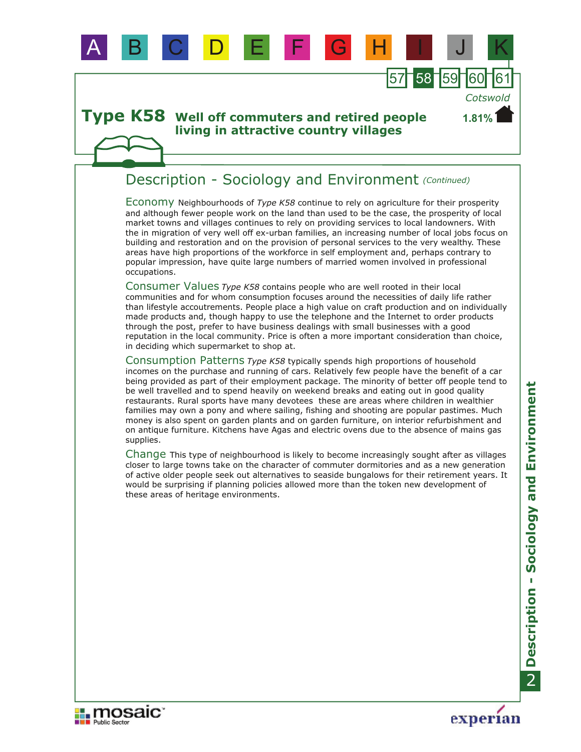### **Type K58** Well off commuters and retired people **living in attractive country villages**

# Description - Sociology and Environment *(Continued)*

A B C D E F G H I J K

Economy Neighbourhoods of *Type K58* continue to rely on agriculture for their prosperity and although fewer people work on the land than used to be the case, the prosperity of local market towns and villages continues to rely on providing services to local landowners. With the in migration of very well off ex-urban families, an increasing number of local jobs focus on building and restoration and on the provision of personal services to the very wealthy. These areas have high proportions of the workforce in self employment and, perhaps contrary to popular impression, have quite large numbers of married women involved in professional occupations.

57 58 59

*Cotswold*

**1.81%**

Consumer Values *Type K58* contains people who are well rooted in their local communities and for whom consumption focuses around the necessities of daily life rather than lifestyle accoutrements. People place a high value on craft production and on individually made products and, though happy to use the telephone and the Internet to order products through the post, prefer to have business dealings with small businesses with a good reputation in the local community. Price is often a more important consideration than choice, in deciding which supermarket to shop at.

Consumption Patterns *Type K58* typically spends high proportions of household incomes on the purchase and running of cars. Relatively few people have the benefit of a car being provided as part of their employment package. The minority of better off people tend to be well travelled and to spend heavily on weekend breaks and eating out in good quality restaurants. Rural sports have many devotees these are areas where children in wealthier families may own a pony and where sailing, fishing and shooting are popular pastimes. Much money is also spent on garden plants and on garden furniture, on interior refurbishment and on antique furniture. Kitchens have Agas and electric ovens due to the absence of mains gas supplies.

Change This type of neighbourhood is likely to become increasingly sought after as villages closer to large towns take on the character of commuter dormitories and as a new generation of active older people seek out alternatives to seaside bungalows for their retirement years. It would be surprising if planning policies allowed more than the token new development of these areas of heritage environments.